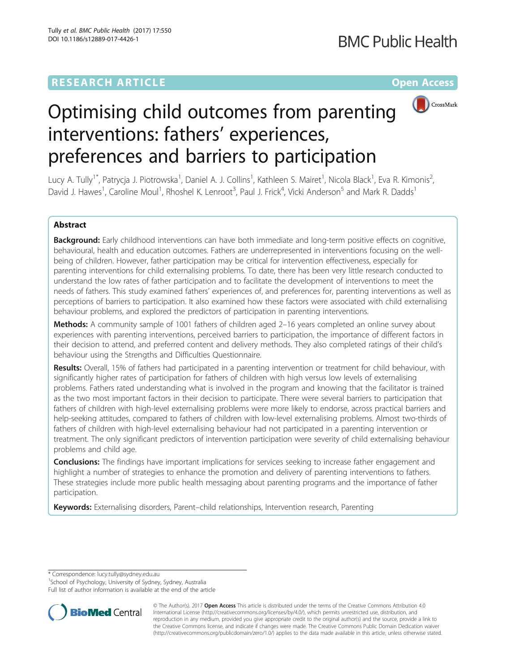# **RESEARCH ARTICLE Example 2014 12:30 The Community Community Community Community Community Community Community**



# Optimising child outcomes from parenting interventions: fathers' experiences, preferences and barriers to participation

Lucy A. Tully<sup>1\*</sup>, Patrycja J. Piotrowska<sup>1</sup>, Daniel A. J. Collins<sup>1</sup>, Kathleen S. Mairet<sup>1</sup>, Nicola Black<sup>1</sup>, Eva R. Kimonis<sup>2</sup> .<br>, David J. Hawes<sup>1</sup>, Caroline Moul<sup>1</sup>, Rhoshel K. Lenroot<sup>3</sup>, Paul J. Frick<sup>4</sup>, Vicki Anderson<sup>5</sup> and Mark R. Dadds<sup>1</sup>

# Abstract

Background: Early childhood interventions can have both immediate and long-term positive effects on cognitive, behavioural, health and education outcomes. Fathers are underrepresented in interventions focusing on the wellbeing of children. However, father participation may be critical for intervention effectiveness, especially for parenting interventions for child externalising problems. To date, there has been very little research conducted to understand the low rates of father participation and to facilitate the development of interventions to meet the needs of fathers. This study examined fathers' experiences of, and preferences for, parenting interventions as well as perceptions of barriers to participation. It also examined how these factors were associated with child externalising behaviour problems, and explored the predictors of participation in parenting interventions.

Methods: A community sample of 1001 fathers of children aged 2-16 years completed an online survey about experiences with parenting interventions, perceived barriers to participation, the importance of different factors in their decision to attend, and preferred content and delivery methods. They also completed ratings of their child's behaviour using the Strengths and Difficulties Questionnaire.

Results: Overall, 15% of fathers had participated in a parenting intervention or treatment for child behaviour, with significantly higher rates of participation for fathers of children with high versus low levels of externalising problems. Fathers rated understanding what is involved in the program and knowing that the facilitator is trained as the two most important factors in their decision to participate. There were several barriers to participation that fathers of children with high-level externalising problems were more likely to endorse, across practical barriers and help-seeking attitudes, compared to fathers of children with low-level externalising problems. Almost two-thirds of fathers of children with high-level externalising behaviour had not participated in a parenting intervention or treatment. The only significant predictors of intervention participation were severity of child externalising behaviour problems and child age.

**Conclusions:** The findings have important implications for services seeking to increase father engagement and highlight a number of strategies to enhance the promotion and delivery of parenting interventions to fathers. These strategies include more public health messaging about parenting programs and the importance of father participation.

Keywords: Externalising disorders, Parent–child relationships, Intervention research, Parenting

\* Correspondence: [lucy.tully@sydney.edu.au](mailto:lucy.tully@sydney.edu.au) <sup>1</sup>

<sup>1</sup>School of Psychology, University of Sydney, Sydney, Australia

Full list of author information is available at the end of the article



© The Author(s). 2017 **Open Access** This article is distributed under the terms of the Creative Commons Attribution 4.0 International License [\(http://creativecommons.org/licenses/by/4.0/](http://creativecommons.org/licenses/by/4.0/)), which permits unrestricted use, distribution, and reproduction in any medium, provided you give appropriate credit to the original author(s) and the source, provide a link to the Creative Commons license, and indicate if changes were made. The Creative Commons Public Domain Dedication waiver [\(http://creativecommons.org/publicdomain/zero/1.0/](http://creativecommons.org/publicdomain/zero/1.0/)) applies to the data made available in this article, unless otherwise stated.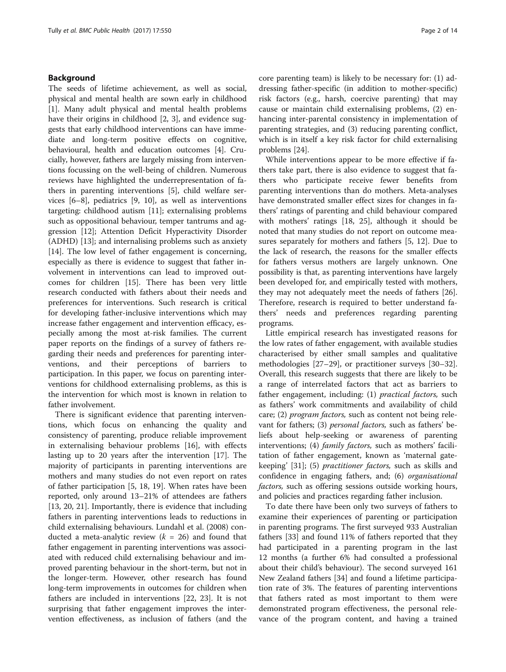### Background

The seeds of lifetime achievement, as well as social, physical and mental health are sown early in childhood [[1\]](#page-12-0). Many adult physical and mental health problems have their origins in childhood [[2](#page-12-0), [3\]](#page-12-0), and evidence suggests that early childhood interventions can have immediate and long-term positive effects on cognitive, behavioural, health and education outcomes [[4\]](#page-12-0). Crucially, however, fathers are largely missing from interventions focussing on the well-being of children. Numerous reviews have highlighted the underrepresentation of fathers in parenting interventions [[5\]](#page-12-0), child welfare services [\[6](#page-12-0)–[8](#page-12-0)], pediatrics [\[9](#page-12-0), [10](#page-12-0)], as well as interventions targeting: childhood autism [[11\]](#page-12-0); externalising problems such as oppositional behaviour, temper tantrums and aggression [\[12](#page-12-0)]; Attention Deficit Hyperactivity Disorder (ADHD) [[13\]](#page-12-0); and internalising problems such as anxiety [[14\]](#page-12-0). The low level of father engagement is concerning, especially as there is evidence to suggest that father involvement in interventions can lead to improved outcomes for children [\[15](#page-12-0)]. There has been very little research conducted with fathers about their needs and preferences for interventions. Such research is critical for developing father-inclusive interventions which may increase father engagement and intervention efficacy, especially among the most at-risk families. The current paper reports on the findings of a survey of fathers regarding their needs and preferences for parenting interventions, and their perceptions of barriers to participation. In this paper, we focus on parenting interventions for childhood externalising problems, as this is the intervention for which most is known in relation to father involvement.

There is significant evidence that parenting interventions, which focus on enhancing the quality and consistency of parenting, produce reliable improvement in externalising behaviour problems [\[16](#page-12-0)], with effects lasting up to 20 years after the intervention [[17](#page-12-0)]. The majority of participants in parenting interventions are mothers and many studies do not even report on rates of father participation [[5, 18, 19](#page-12-0)]. When rates have been reported, only around 13–21% of attendees are fathers [[13, 20, 21\]](#page-12-0). Importantly, there is evidence that including fathers in parenting interventions leads to reductions in child externalising behaviours. Lundahl et al. (2008) conducted a meta-analytic review  $(k = 26)$  and found that father engagement in parenting interventions was associated with reduced child externalising behaviour and improved parenting behaviour in the short-term, but not in the longer-term. However, other research has found long-term improvements in outcomes for children when fathers are included in interventions [\[22,](#page-12-0) [23](#page-13-0)]. It is not surprising that father engagement improves the intervention effectiveness, as inclusion of fathers (and the core parenting team) is likely to be necessary for: (1) addressing father-specific (in addition to mother-specific) risk factors (e.g., harsh, coercive parenting) that may cause or maintain child externalising problems, (2) enhancing inter-parental consistency in implementation of parenting strategies, and (3) reducing parenting conflict, which is in itself a key risk factor for child externalising problems [[24\]](#page-13-0).

While interventions appear to be more effective if fathers take part, there is also evidence to suggest that fathers who participate receive fewer benefits from parenting interventions than do mothers. Meta-analyses have demonstrated smaller effect sizes for changes in fathers' ratings of parenting and child behaviour compared with mothers' ratings [[18](#page-12-0), [25\]](#page-13-0), although it should be noted that many studies do not report on outcome measures separately for mothers and fathers [[5, 12\]](#page-12-0). Due to the lack of research, the reasons for the smaller effects for fathers versus mothers are largely unknown. One possibility is that, as parenting interventions have largely been developed for, and empirically tested with mothers, they may not adequately meet the needs of fathers [\[26](#page-13-0)]. Therefore, research is required to better understand fathers' needs and preferences regarding parenting programs.

Little empirical research has investigated reasons for the low rates of father engagement, with available studies characterised by either small samples and qualitative methodologies [\[27](#page-13-0)–[29\]](#page-13-0), or practitioner surveys [[30](#page-13-0)–[32](#page-13-0)]. Overall, this research suggests that there are likely to be a range of interrelated factors that act as barriers to father engagement, including: (1) practical factors, such as fathers' work commitments and availability of child care; (2) program factors, such as content not being relevant for fathers; (3) *personal factors*, such as fathers' beliefs about help-seeking or awareness of parenting interventions; (4) *family factors*, such as mothers' facilitation of father engagement, known as 'maternal gatekeeping' [[31](#page-13-0)]; (5) practitioner factors, such as skills and confidence in engaging fathers, and; (6) organisational factors, such as offering sessions outside working hours, and policies and practices regarding father inclusion.

To date there have been only two surveys of fathers to examine their experiences of parenting or participation in parenting programs. The first surveyed 933 Australian fathers [[33\]](#page-13-0) and found 11% of fathers reported that they had participated in a parenting program in the last 12 months (a further 6% had consulted a professional about their child's behaviour). The second surveyed 161 New Zealand fathers [\[34](#page-13-0)] and found a lifetime participation rate of 3%. The features of parenting interventions that fathers rated as most important to them were demonstrated program effectiveness, the personal relevance of the program content, and having a trained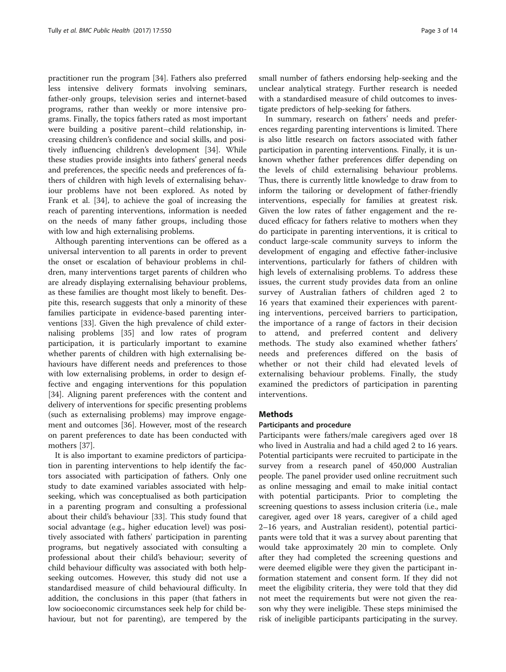practitioner run the program [[34\]](#page-13-0). Fathers also preferred less intensive delivery formats involving seminars, father-only groups, television series and internet-based programs, rather than weekly or more intensive programs. Finally, the topics fathers rated as most important were building a positive parent–child relationship, increasing children's confidence and social skills, and positively influencing children's development [\[34](#page-13-0)]. While these studies provide insights into fathers' general needs and preferences, the specific needs and preferences of fathers of children with high levels of externalising behaviour problems have not been explored. As noted by Frank et al. [[34](#page-13-0)], to achieve the goal of increasing the reach of parenting interventions, information is needed on the needs of many father groups, including those with low and high externalising problems.

Although parenting interventions can be offered as a universal intervention to all parents in order to prevent the onset or escalation of behaviour problems in children, many interventions target parents of children who are already displaying externalising behaviour problems, as these families are thought most likely to benefit. Despite this, research suggests that only a minority of these families participate in evidence-based parenting interventions [\[33\]](#page-13-0). Given the high prevalence of child externalising problems [\[35](#page-13-0)] and low rates of program participation, it is particularly important to examine whether parents of children with high externalising behaviours have different needs and preferences to those with low externalising problems, in order to design effective and engaging interventions for this population [[34\]](#page-13-0). Aligning parent preferences with the content and delivery of interventions for specific presenting problems (such as externalising problems) may improve engagement and outcomes [[36](#page-13-0)]. However, most of the research on parent preferences to date has been conducted with mothers [\[37](#page-13-0)].

It is also important to examine predictors of participation in parenting interventions to help identify the factors associated with participation of fathers. Only one study to date examined variables associated with helpseeking, which was conceptualised as both participation in a parenting program and consulting a professional about their child's behaviour [\[33](#page-13-0)]. This study found that social advantage (e.g., higher education level) was positively associated with fathers' participation in parenting programs, but negatively associated with consulting a professional about their child's behaviour; severity of child behaviour difficulty was associated with both helpseeking outcomes. However, this study did not use a standardised measure of child behavioural difficulty. In addition, the conclusions in this paper (that fathers in low socioeconomic circumstances seek help for child behaviour, but not for parenting), are tempered by the small number of fathers endorsing help-seeking and the unclear analytical strategy. Further research is needed with a standardised measure of child outcomes to investigate predictors of help-seeking for fathers.

In summary, research on fathers' needs and preferences regarding parenting interventions is limited. There is also little research on factors associated with father participation in parenting interventions. Finally, it is unknown whether father preferences differ depending on the levels of child externalising behaviour problems. Thus, there is currently little knowledge to draw from to inform the tailoring or development of father-friendly interventions, especially for families at greatest risk. Given the low rates of father engagement and the reduced efficacy for fathers relative to mothers when they do participate in parenting interventions, it is critical to conduct large-scale community surveys to inform the development of engaging and effective father-inclusive interventions, particularly for fathers of children with high levels of externalising problems. To address these issues, the current study provides data from an online survey of Australian fathers of children aged 2 to 16 years that examined their experiences with parenting interventions, perceived barriers to participation, the importance of a range of factors in their decision to attend, and preferred content and delivery methods. The study also examined whether fathers' needs and preferences differed on the basis of whether or not their child had elevated levels of externalising behaviour problems. Finally, the study examined the predictors of participation in parenting interventions.

#### **Methods**

#### Participants and procedure

Participants were fathers/male caregivers aged over 18 who lived in Australia and had a child aged 2 to 16 years. Potential participants were recruited to participate in the survey from a research panel of 450,000 Australian people. The panel provider used online recruitment such as online messaging and email to make initial contact with potential participants. Prior to completing the screening questions to assess inclusion criteria (i.e., male caregiver, aged over 18 years, caregiver of a child aged 2–16 years, and Australian resident), potential participants were told that it was a survey about parenting that would take approximately 20 min to complete. Only after they had completed the screening questions and were deemed eligible were they given the participant information statement and consent form. If they did not meet the eligibility criteria, they were told that they did not meet the requirements but were not given the reason why they were ineligible. These steps minimised the risk of ineligible participants participating in the survey.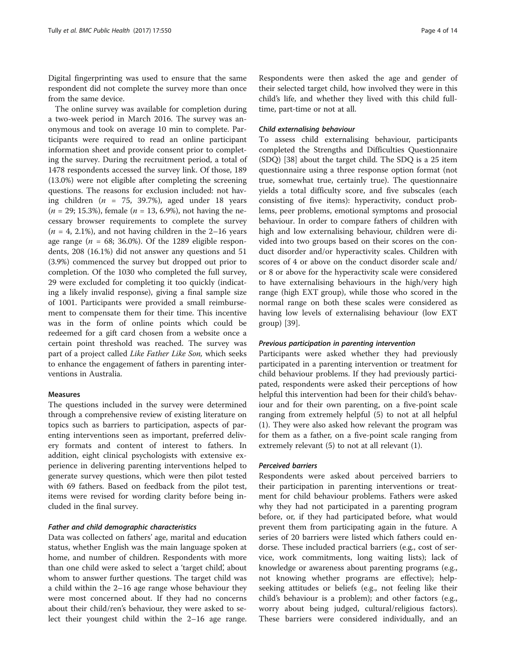Digital fingerprinting was used to ensure that the same respondent did not complete the survey more than once from the same device.

The online survey was available for completion during a two-week period in March 2016. The survey was anonymous and took on average 10 min to complete. Participants were required to read an online participant information sheet and provide consent prior to completing the survey. During the recruitment period, a total of 1478 respondents accessed the survey link. Of those, 189 (13.0%) were not eligible after completing the screening questions. The reasons for exclusion included: not having children ( $n = 75, 39.7\%$ ), aged under 18 years  $(n = 29; 15.3\%)$ , female  $(n = 13, 6.9\%)$ , not having the necessary browser requirements to complete the survey  $(n = 4, 2.1\%)$ , and not having children in the 2-16 years age range ( $n = 68$ ; 36.0%). Of the 1289 eligible respondents, 208 (16.1%) did not answer any questions and 51 (3.9%) commenced the survey but dropped out prior to completion. Of the 1030 who completed the full survey, 29 were excluded for completing it too quickly (indicating a likely invalid response), giving a final sample size of 1001. Participants were provided a small reimbursement to compensate them for their time. This incentive was in the form of online points which could be redeemed for a gift card chosen from a website once a certain point threshold was reached. The survey was part of a project called Like Father Like Son, which seeks to enhance the engagement of fathers in parenting interventions in Australia.

#### Measures

The questions included in the survey were determined through a comprehensive review of existing literature on topics such as barriers to participation, aspects of parenting interventions seen as important, preferred delivery formats and content of interest to fathers. In addition, eight clinical psychologists with extensive experience in delivering parenting interventions helped to generate survey questions, which were then pilot tested with 69 fathers. Based on feedback from the pilot test, items were revised for wording clarity before being included in the final survey.

### Father and child demographic characteristics

Data was collected on fathers' age, marital and education status, whether English was the main language spoken at home, and number of children. Respondents with more than one child were asked to select a 'target child', about whom to answer further questions. The target child was a child within the 2–16 age range whose behaviour they were most concerned about. If they had no concerns about their child/ren's behaviour, they were asked to select their youngest child within the 2–16 age range. Respondents were then asked the age and gender of their selected target child, how involved they were in this child's life, and whether they lived with this child fulltime, part-time or not at all.

#### Child externalising behaviour

To assess child externalising behaviour, participants completed the Strengths and Difficulties Questionnaire (SDQ) [\[38](#page-13-0)] about the target child. The SDQ is a 25 item questionnaire using a three response option format (not true, somewhat true, certainly true). The questionnaire yields a total difficulty score, and five subscales (each consisting of five items): hyperactivity, conduct problems, peer problems, emotional symptoms and prosocial behaviour. In order to compare fathers of children with high and low externalising behaviour, children were divided into two groups based on their scores on the conduct disorder and/or hyperactivity scales. Children with scores of 4 or above on the conduct disorder scale and/ or 8 or above for the hyperactivity scale were considered to have externalising behaviours in the high/very high range (high EXT group), while those who scored in the normal range on both these scales were considered as having low levels of externalising behaviour (low EXT group) [\[39\]](#page-13-0).

#### Previous participation in parenting intervention

Participants were asked whether they had previously participated in a parenting intervention or treatment for child behaviour problems. If they had previously participated, respondents were asked their perceptions of how helpful this intervention had been for their child's behaviour and for their own parenting, on a five-point scale ranging from extremely helpful (5) to not at all helpful (1). They were also asked how relevant the program was for them as a father, on a five-point scale ranging from extremely relevant (5) to not at all relevant (1).

#### Perceived barriers

Respondents were asked about perceived barriers to their participation in parenting interventions or treatment for child behaviour problems. Fathers were asked why they had not participated in a parenting program before, or, if they had participated before, what would prevent them from participating again in the future. A series of 20 barriers were listed which fathers could endorse. These included practical barriers (e.g., cost of service, work commitments, long waiting lists); lack of knowledge or awareness about parenting programs (e.g., not knowing whether programs are effective); helpseeking attitudes or beliefs (e.g., not feeling like their child's behaviour is a problem); and other factors (e.g., worry about being judged, cultural/religious factors). These barriers were considered individually, and an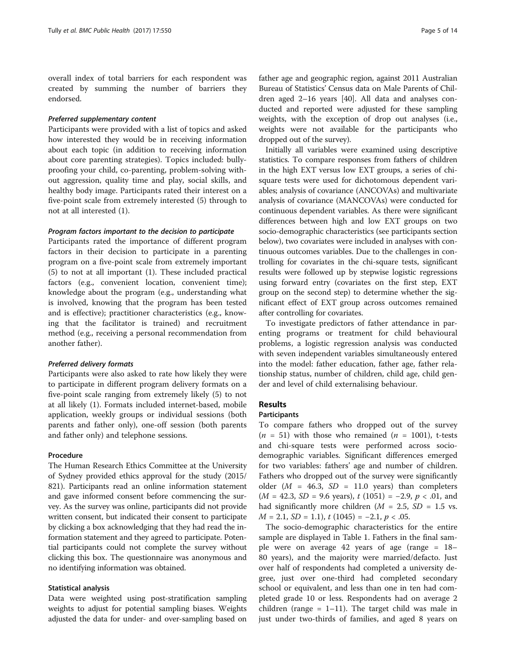overall index of total barriers for each respondent was created by summing the number of barriers they endorsed.

#### Preferred supplementary content

Participants were provided with a list of topics and asked how interested they would be in receiving information about each topic (in addition to receiving information about core parenting strategies). Topics included: bullyproofing your child, co-parenting, problem-solving without aggression, quality time and play, social skills, and healthy body image. Participants rated their interest on a five-point scale from extremely interested (5) through to not at all interested (1).

#### Program factors important to the decision to participate

Participants rated the importance of different program factors in their decision to participate in a parenting program on a five-point scale from extremely important (5) to not at all important (1). These included practical factors (e.g., convenient location, convenient time); knowledge about the program (e.g., understanding what is involved, knowing that the program has been tested and is effective); practitioner characteristics (e.g., knowing that the facilitator is trained) and recruitment method (e.g., receiving a personal recommendation from another father).

#### Preferred delivery formats

Participants were also asked to rate how likely they were to participate in different program delivery formats on a five-point scale ranging from extremely likely (5) to not at all likely (1). Formats included internet-based, mobile application, weekly groups or individual sessions (both parents and father only), one-off session (both parents and father only) and telephone sessions.

#### Procedure

The Human Research Ethics Committee at the University of Sydney provided ethics approval for the study (2015/ 821). Participants read an online information statement and gave informed consent before commencing the survey. As the survey was online, participants did not provide written consent, but indicated their consent to participate by clicking a box acknowledging that they had read the information statement and they agreed to participate. Potential participants could not complete the survey without clicking this box. The questionnaire was anonymous and no identifying information was obtained.

#### Statistical analysis

Data were weighted using post-stratification sampling weights to adjust for potential sampling biases. Weights adjusted the data for under- and over-sampling based on father age and geographic region, against 2011 Australian Bureau of Statistics' Census data on Male Parents of Children aged 2–16 years [[40\]](#page-13-0). All data and analyses conducted and reported were adjusted for these sampling weights, with the exception of drop out analyses (i.e., weights were not available for the participants who dropped out of the survey).

Initially all variables were examined using descriptive statistics. To compare responses from fathers of children in the high EXT versus low EXT groups, a series of chisquare tests were used for dichotomous dependent variables; analysis of covariance (ANCOVAs) and multivariate analysis of covariance (MANCOVAs) were conducted for continuous dependent variables. As there were significant differences between high and low EXT groups on two socio-demographic characteristics (see participants section below), two covariates were included in analyses with continuous outcomes variables. Due to the challenges in controlling for covariates in the chi-square tests, significant results were followed up by stepwise logistic regressions using forward entry (covariates on the first step, EXT group on the second step) to determine whether the significant effect of EXT group across outcomes remained after controlling for covariates.

To investigate predictors of father attendance in parenting programs or treatment for child behavioural problems, a logistic regression analysis was conducted with seven independent variables simultaneously entered into the model: father education, father age, father relationship status, number of children, child age, child gender and level of child externalising behaviour.

#### Results

#### Participants

To compare fathers who dropped out of the survey  $(n = 51)$  with those who remained  $(n = 1001)$ , t-tests and chi-square tests were performed across sociodemographic variables. Significant differences emerged for two variables: fathers' age and number of children. Fathers who dropped out of the survey were significantly older ( $M = 46.3$ ,  $SD = 11.0$  years) than completers  $(M = 42.3, SD = 9.6$  years),  $t(1051) = -2.9, p < .01$ , and had significantly more children ( $M = 2.5$ ,  $SD = 1.5$  vs.  $M = 2.1$ ,  $SD = 1.1$ ),  $t(1045) = -2.1$ ,  $p < .05$ .

The socio-demographic characteristics for the entire sample are displayed in Table [1](#page-5-0). Fathers in the final sample were on average 42 years of age (range = 18– 80 years), and the majority were married/defacto. Just over half of respondents had completed a university degree, just over one-third had completed secondary school or equivalent, and less than one in ten had completed grade 10 or less. Respondents had on average 2 children (range =  $1-11$ ). The target child was male in just under two-thirds of families, and aged 8 years on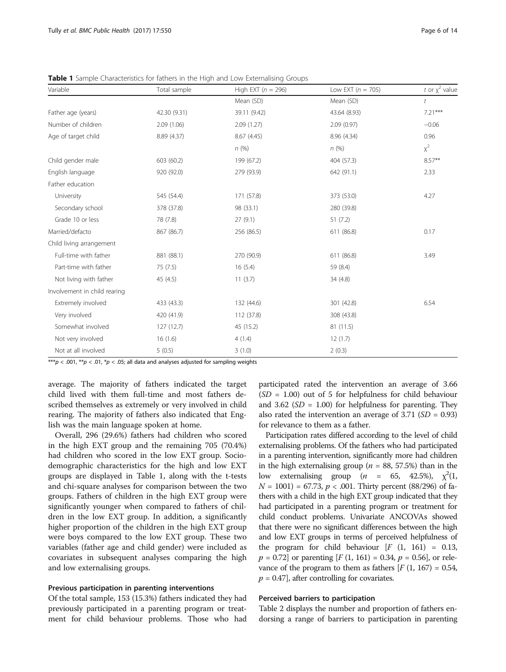| Variable                     | Total sample | High EXT ( $n = 296$ ) | Low EXT $(n = 705)$ | t or $\chi^2$ value |
|------------------------------|--------------|------------------------|---------------------|---------------------|
|                              |              | Mean (SD)              | Mean (SD)           | t                   |
| Father age (years)           | 42.30 (9.31) | 39.11 (9.42)           | 43.64 (8.93)        | $7.21***$           |
| Number of children           | 2.09(1.06)   | 2.09(1.27)             | 2.09(0.97)          | $-0.06$             |
| Age of target child          | 8.89 (4.37)  | 8.67 (4.45)            | 8.96 (4.34)         | 0.96                |
|                              |              | n(%)                   | n(%)                | $x^2$               |
| Child gender male            | 603 (60.2)   | 199 (67.2)             | 404 (57.3)          | $8.57**$            |
| English language             | 920 (92.0)   | 279 (93.9)             | 642 (91.1)          | 2.33                |
| Father education             |              |                        |                     |                     |
| University                   | 545 (54.4)   | 171 (57.8)             | 373 (53.0)          | 4.27                |
| Secondary school             | 378 (37.8)   | 98 (33.1)              | 280 (39.8)          |                     |
| Grade 10 or less             | 78 (7.8)     | 27(9.1)                | 51(7.2)             |                     |
| Married/defacto              | 867 (86.7)   | 256 (86.5)             | 611 (86.8)          | 0.17                |
| Child living arrangement     |              |                        |                     |                     |
| Full-time with father        | 881 (88.1)   | 270 (90.9)             | 611 (86.8)          | 3.49                |
| Part-time with father        | 75(7.5)      | 16(5.4)                | 59 (8.4)            |                     |
| Not living with father       | 45 (4.5)     | 11(3.7)                | 34 (4.8)            |                     |
| Involvement in child rearing |              |                        |                     |                     |
| Extremely involved           | 433 (43.3)   | 132 (44.6)             | 301 (42.8)          | 6.54                |
| Very involved                | 420 (41.9)   | 112 (37.8)             | 308 (43.8)          |                     |
| Somewhat involved            | 127 (12.7)   | 45 (15.2)              | 81 (11.5)           |                     |
| Not very involved            | 16(1.6)      | 4(1.4)                 | 12(1.7)             |                     |
| Not at all involved          | 5(0.5)       | 3(1.0)                 | 2(0.3)              |                     |

<span id="page-5-0"></span>Table 1 Sample Characteristics for fathers in the High and Low Externalising Groups

\*\*\* $p$  < .001, \*\* $p$  < .01, \* $p$  < .05; all data and analyses adjusted for sampling weights

average. The majority of fathers indicated the target child lived with them full-time and most fathers described themselves as extremely or very involved in child rearing. The majority of fathers also indicated that English was the main language spoken at home.

Overall, 296 (29.6%) fathers had children who scored in the high EXT group and the remaining 705 (70.4%) had children who scored in the low EXT group. Sociodemographic characteristics for the high and low EXT groups are displayed in Table 1, along with the t-tests and chi-square analyses for comparison between the two groups. Fathers of children in the high EXT group were significantly younger when compared to fathers of children in the low EXT group. In addition, a significantly higher proportion of the children in the high EXT group were boys compared to the low EXT group. These two variables (father age and child gender) were included as covariates in subsequent analyses comparing the high and low externalising groups.

#### Previous participation in parenting interventions

Of the total sample, 153 (15.3%) fathers indicated they had previously participated in a parenting program or treatment for child behaviour problems. Those who had

participated rated the intervention an average of 3.66  $(SD = 1.00)$  out of 5 for helpfulness for child behaviour and 3.62 ( $SD = 1.00$ ) for helpfulness for parenting. They also rated the intervention an average of 3.71 ( $SD = 0.93$ ) for relevance to them as a father.

Participation rates differed according to the level of child externalising problems. Of the fathers who had participated in a parenting intervention, significantly more had children in the high externalising group ( $n = 88, 57.5\%$ ) than in the low externalising group  $(n = 65, 42.5\%)$ ,  $\chi^2(1, N = 1001) = 67.73$ ,  $n < 0.01$  Thirty percent (88/296) of fa- $N = 1001$ ) = 67.73,  $p < .001$ . Thirty percent (88/296) of fathers with a child in the high EXT group indicated that they had participated in a parenting program or treatment for child conduct problems. Univariate ANCOVAs showed that there were no significant differences between the high and low EXT groups in terms of perceived helpfulness of the program for child behaviour  $[F (1, 161) = 0.13]$ ,  $p = 0.72$  or parenting  $[F(1, 161) = 0.34, p = 0.56]$ , or relevance of the program to them as fathers  $[F(1, 167) = 0.54]$ ,  $p = 0.47$ , after controlling for covariates.

#### Perceived barriers to participation

Table [2](#page-6-0) displays the number and proportion of fathers endorsing a range of barriers to participation in parenting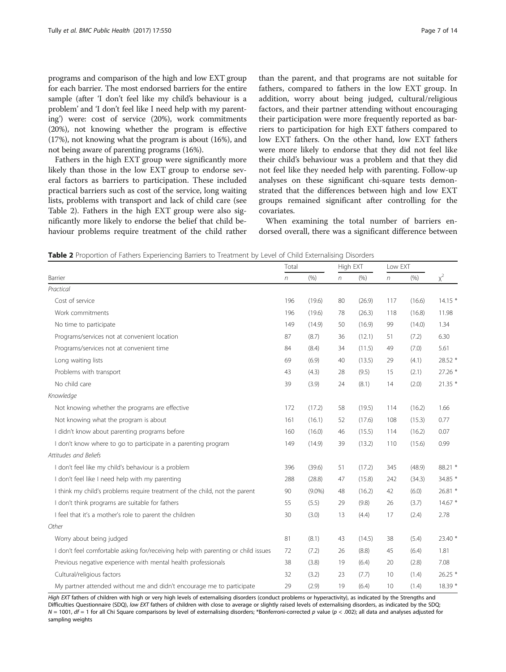<span id="page-6-0"></span>programs and comparison of the high and low EXT group for each barrier. The most endorsed barriers for the entire sample (after 'I don't feel like my child's behaviour is a problem' and 'I don't feel like I need help with my parenting') were: cost of service (20%), work commitments (20%), not knowing whether the program is effective (17%), not knowing what the program is about (16%), and not being aware of parenting programs (16%).

Fathers in the high EXT group were significantly more likely than those in the low EXT group to endorse several factors as barriers to participation. These included practical barriers such as cost of the service, long waiting lists, problems with transport and lack of child care (see Table 2). Fathers in the high EXT group were also significantly more likely to endorse the belief that child behaviour problems require treatment of the child rather

than the parent, and that programs are not suitable for fathers, compared to fathers in the low EXT group. In addition, worry about being judged, cultural/religious factors, and their partner attending without encouraging their participation were more frequently reported as barriers to participation for high EXT fathers compared to low EXT fathers. On the other hand, low EXT fathers were more likely to endorse that they did not feel like their child's behaviour was a problem and that they did not feel like they needed help with parenting. Follow-up analyses on these significant chi-square tests demonstrated that the differences between high and low EXT groups remained significant after controlling for the covariates.

When examining the total number of barriers endorsed overall, there was a significant difference between

Table 2 Proportion of Fathers Experiencing Barriers to Treatment by Level of Child Externalising Disorders

|                                                                                   | Total      |           | High EXT   |        | Low EXT |        |          |
|-----------------------------------------------------------------------------------|------------|-----------|------------|--------|---------|--------|----------|
| Barrier                                                                           | $\sqrt{n}$ | (% )      | $\sqrt{n}$ | (% )   | n       | (% )   | $\chi^2$ |
| Practical                                                                         |            |           |            |        |         |        |          |
| Cost of service                                                                   | 196        | (19.6)    | 80         | (26.9) | 117     | (16.6) | $14.15*$ |
| Work commitments                                                                  | 196        | (19.6)    | 78         | (26.3) | 118     | (16.8) | 11.98    |
| No time to participate                                                            | 149        | (14.9)    | 50         | (16.9) | 99      | (14.0) | 1.34     |
| Programs/services not at convenient location                                      | 87         | (8.7)     | 36         | (12.1) | 51      | (7.2)  | 6.30     |
| Programs/services not at convenient time                                          | 84         | (8.4)     | 34         | (11.5) | 49      | (7.0)  | 5.61     |
| Long waiting lists                                                                | 69         | (6.9)     | 40         | (13.5) | 29      | (4.1)  | 28.52 *  |
| Problems with transport                                                           | 43         | (4.3)     | 28         | (9.5)  | 15      | (2.1)  | 27.26 *  |
| No child care                                                                     | 39         | (3.9)     | 24         | (8.1)  | 14      | (2.0)  | $21.35*$ |
| Knowledge                                                                         |            |           |            |        |         |        |          |
| Not knowing whether the programs are effective                                    | 172        | (17.2)    | 58         | (19.5) | 114     | (16.2) | 1.66     |
| Not knowing what the program is about                                             | 161        | (16.1)    | 52         | (17.6) | 108     | (15.3) | 0.77     |
| I didn't know about parenting programs before                                     | 160        | (16.0)    | 46         | (15.5) | 114     | (16.2) | 0.07     |
| I don't know where to go to participate in a parenting program                    |            | (14.9)    | 39         | (13.2) | 110     | (15.6) | 0.99     |
| Attitudes and Beliefs                                                             |            |           |            |        |         |        |          |
| I don't feel like my child's behaviour is a problem                               | 396        | (39.6)    | 51         | (17.2) | 345     | (48.9) | 88.21 *  |
| I don't feel like I need help with my parenting                                   | 288        | (28.8)    | 47         | (15.8) | 242     | (34.3) | 34.85 *  |
| I think my child's problems require treatment of the child, not the parent        | 90         | $(9.0\%)$ | 48         | (16.2) | 42      | (6.0)  | 26.81 *  |
| I don't think programs are suitable for fathers                                   | 55         | (5.5)     | 29         | (9.8)  | 26      | (3.7)  | $14.67*$ |
| I feel that it's a mother's role to parent the children                           | 30         | (3.0)     | 13         | (4.4)  | 17      | (2.4)  | 2.78     |
| Other                                                                             |            |           |            |        |         |        |          |
| Worry about being judged                                                          | 81         | (8.1)     | 43         | (14.5) | 38      | (5.4)  | 23.40 *  |
| I don't feel comfortable asking for/receiving help with parenting or child issues | 72         | (7.2)     | 26         | (8.8)  | 45      | (6.4)  | 1.81     |
| Previous negative experience with mental health professionals                     | 38         | (3.8)     | 19         | (6.4)  | 20      | (2.8)  | 7.08     |
| Cultural/religious factors                                                        | 32         | (3.2)     | 23         | (7.7)  | 10      | (1.4)  | $26.25*$ |
| My partner attended without me and didn't encourage me to participate             | 29         | (2.9)     | 19         | (6.4)  | 10      | (1.4)  | 18.39 *  |

High EXT fathers of children with high or very high levels of externalising disorders (conduct problems or hyperactivity), as indicated by the Strengths and Difficulties Questionnaire (SDQ), low EXT fathers of children with close to average or slightly raised levels of externalising disorders, as indicated by the SDQ;  $N = 1001$ ,  $df = 1$  for all Chi Square comparisons by level of externalising disorders; \*Bonferroni-corrected p value (p < .002); all data and analyses adjusted for sampling weights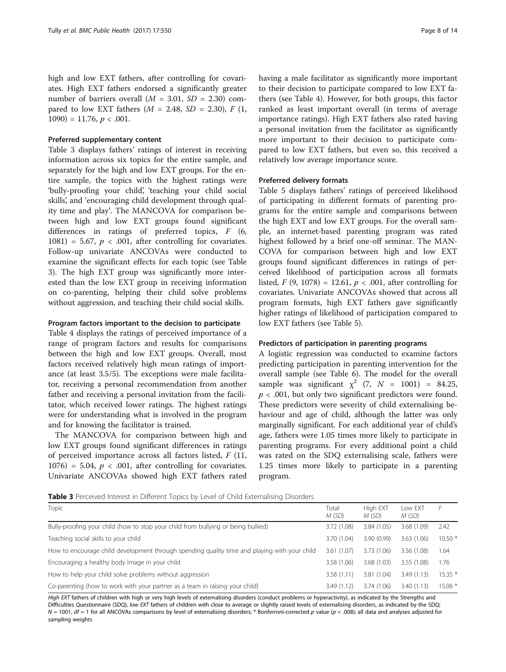high and low EXT fathers, after controlling for covariates. High EXT fathers endorsed a significantly greater number of barriers overall  $(M = 3.01, SD = 2.30)$  compared to low EXT fathers  $(M = 2.48, SD = 2.30), F(1,$  $1090$ ) = 11.76,  $p < .001$ .

#### Preferred supplementary content

Table 3 displays fathers' ratings of interest in receiving information across six topics for the entire sample, and separately for the high and low EXT groups. For the entire sample, the topics with the highest ratings were 'bully-proofing your child', 'teaching your child social skills', and 'encouraging child development through quality time and play'. The MANCOVA for comparison between high and low EXT groups found significant differences in ratings of preferred topics, F (6, 1081) = 5.67,  $p < .001$ , after controlling for covariates. Follow-up univariate ANCOVAs were conducted to examine the significant effects for each topic (see Table 3). The high EXT group was significantly more interested than the low EXT group in receiving information on co-parenting, helping their child solve problems without aggression, and teaching their child social skills.

#### Program factors important to the decision to participate

Table [4](#page-8-0) displays the ratings of perceived importance of a range of program factors and results for comparisons between the high and low EXT groups. Overall, most factors received relatively high mean ratings of importance (at least 3.5/5). The exceptions were male facilitator, receiving a personal recommendation from another father and receiving a personal invitation from the facilitator, which received lower ratings. The highest ratings were for understanding what is involved in the program and for knowing the facilitator is trained.

The MANCOVA for comparison between high and low EXT groups found significant differences in ratings of perceived importance across all factors listed,  $F(11, 11)$ 1076) = 5.04,  $p < .001$ , after controlling for covariates. Univariate ANCOVAs showed high EXT fathers rated having a male facilitator as significantly more important to their decision to participate compared to low EXT fathers (see Table [4\)](#page-8-0). However, for both groups, this factor ranked as least important overall (in terms of average importance ratings). High EXT fathers also rated having a personal invitation from the facilitator as significantly more important to their decision to participate compared to low EXT fathers, but even so, this received a relatively low average importance score.

#### Preferred delivery formats

Table [5](#page-8-0) displays fathers' ratings of perceived likelihood of participating in different formats of parenting programs for the entire sample and comparisons between the high EXT and low EXT groups. For the overall sample, an internet-based parenting program was rated highest followed by a brief one-off seminar. The MAN-COVA for comparison between high and low EXT groups found significant differences in ratings of perceived likelihood of participation across all formats listed,  $F(9, 1078) = 12.61, p < .001$ , after controlling for covariates. Univariate ANCOVAs showed that across all program formats, high EXT fathers gave significantly higher ratings of likelihood of participation compared to low EXT fathers (see Table [5\)](#page-8-0).

#### Predictors of participation in parenting programs

A logistic regression was conducted to examine factors predicting participation in parenting intervention for the overall sample (see Table [6](#page-9-0)). The model for the overall sample was significant  $\chi^2$  (7,  $N = 1001$ ) = 84.25,  $p < .001$ , but only two significant predictors were found. These predictors were severity of child externalising behaviour and age of child, although the latter was only marginally significant. For each additional year of child's age, fathers were 1.05 times more likely to participate in parenting programs. For every additional point a child was rated on the SDQ externalising scale, fathers were 1.25 times more likely to participate in a parenting program.

**Table 3** Perceived Interest in Different Topics by Level of Child Externalising Disorders

| Topic                                                                                        | Total<br>M(SD) | High EXT<br>M (SD) | Low EXT<br>M (SD) |          |
|----------------------------------------------------------------------------------------------|----------------|--------------------|-------------------|----------|
| Bully-proofing your child (how to stop your child from bullying or being bullied)            | 3.72 (1.08)    | 3.84 (1.05)        | 3.68 (1.09)       | 2.42     |
| Teaching social skills to your child                                                         | 3.70 (1.04)    | 3.90(0.99)         | 3.63(1.06)        | $10.50*$ |
| How to encourage child development through spending quality time and playing with your child | 3.61(1.07)     | 3.73 (1.06)        | 3.56 (1.08)       | 1.64     |
| Encouraging a healthy body image in your child                                               | 3.58 (1.06)    | 3.68(1.03)         | 3.55(1.08)        | 1.76     |
| How to help your child solve problems without aggression                                     | 3.58(1.11)     | 3.81 (1.04)        | 3.49(1.13)        | $15.35*$ |
| Co-parenting (how to work with your partner as a team in raising your child)                 | 3.49(1.12)     | 3.74 (1.06)        | 3.40(1.13)        | $15.06*$ |

High EXT fathers of children with high or very high levels of externalising disorders (conduct problems or hyperactivity), as indicated by the Strengths and Difficulties Questionnaire (SDQ), low EXT fathers of children with close to average or slightly raised levels of externalising disorders, as indicated by the SDQ;  $N = 1001$ ,  $df = 1$  for all ANCOVAs comparisons by level of externalising disorders; \* Bonferroni-corrected p value (p < .008); all data and analyses adjusted for sampling weights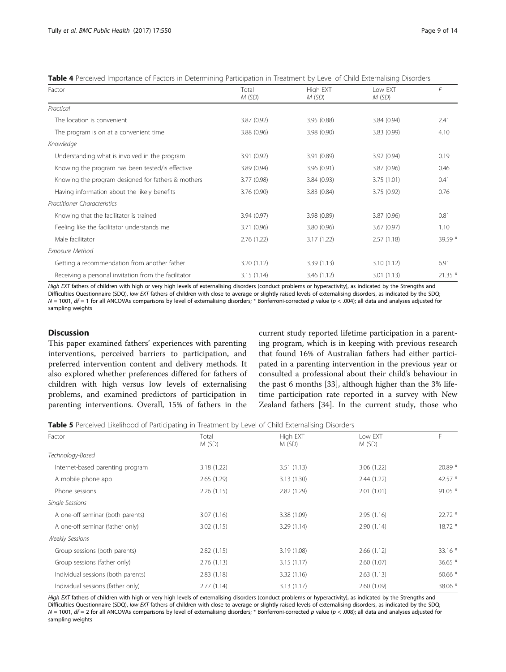<span id="page-8-0"></span>Table 4 Perceived Importance of Factors in Determining Participation in Treatment by Level of Child Externalising Disorders

| Factor                                               | Total<br>M(SD) | High EXT<br>M(SD) | Low EXT<br>M(SD) | F        |
|------------------------------------------------------|----------------|-------------------|------------------|----------|
| Practical                                            |                |                   |                  |          |
| The location is convenient                           | 3.87(0.92)     | 3.95(0.88)        | 3.84(0.94)       | 2.41     |
| The program is on at a convenient time               | 3.88(0.96)     | 3.98(0.90)        | 3.83(0.99)       | 4.10     |
| Knowledge                                            |                |                   |                  |          |
| Understanding what is involved in the program        | 3.91 (0.92)    | 3.91(0.89)        | 3.92(0.94)       | 0.19     |
| Knowing the program has been tested/is effective     | 3.89 (0.94)    | 3.96 (0.91)       | 3.87(0.96)       | 0.46     |
| Knowing the program designed for fathers & mothers   | 3.77 (0.98)    | 3.84 (0.93)       | 3.75 (1.01)      | 0.41     |
| Having information about the likely benefits         | 3.76 (0.90)    | 3.83(0.84)        | 3.75(0.92)       | 0.76     |
| <b>Practitioner Characteristics</b>                  |                |                   |                  |          |
| Knowing that the facilitator is trained              | 3.94 (0.97)    | 3.98 (0.89)       | 3.87 (0.96)      | 0.81     |
| Feeling like the facilitator understands me          | 3.71 (0.96)    | 3.80(0.96)        | 3.67(0.97)       | 1.10     |
| Male facilitator                                     | 2.76(1.22)     | 3.17(1.22)        | 2.57(1.18)       | $39.59*$ |
| Exposure Method                                      |                |                   |                  |          |
| Getting a recommendation from another father         | 3.20(1.12)     | 3.39(1.13)        | 3.10(1.12)       | 6.91     |
| Receiving a personal invitation from the facilitator | 3.15(1.14)     | 3.46(1.12)        | 3.01(1.13)       | $21.35*$ |

High EXT fathers of children with high or very high levels of externalising disorders (conduct problems or hyperactivity), as indicated by the Strengths and Difficulties Questionnaire (SDQ), low EXT fathers of children with close to average or slightly raised levels of externalising disorders, as indicated by the SDQ;  $N = 1001$ ,  $df = 1$  for all ANCOVAs comparisons by level of externalising disorders; \* Bonferroni-corrected p value (p < .004); all data and analyses adjusted for sampling weights

## Discussion

This paper examined fathers' experiences with parenting interventions, perceived barriers to participation, and preferred intervention content and delivery methods. It also explored whether preferences differed for fathers of children with high versus low levels of externalising problems, and examined predictors of participation in parenting interventions. Overall, 15% of fathers in the

current study reported lifetime participation in a parenting program, which is in keeping with previous research that found 16% of Australian fathers had either participated in a parenting intervention in the previous year or consulted a professional about their child's behaviour in the past 6 months [\[33\]](#page-13-0), although higher than the 3% lifetime participation rate reported in a survey with New Zealand fathers [\[34\]](#page-13-0). In the current study, those who

Table 5 Perceived Likelihood of Participating in Treatment by Level of Child Externalising Disorders

| Factor                             | Total      | High EXT    | Low EXT    | F         |
|------------------------------------|------------|-------------|------------|-----------|
|                                    | M(SD)      | M(SD)       | M (SD)     |           |
| Technology-Based                   |            |             |            |           |
| Internet-based parenting program   | 3.18(1.22) | 3.51(1.13)  | 3.06(1.22) | 20.89 *   |
| A mobile phone app                 | 2.65(1.29) | 3.13(1.30)  | 2.44(1.22) | 42.57 $*$ |
| Phone sessions                     | 2.26(1.15) | 2.82(1.29)  | 2.01(1.01) | $91.05*$  |
| Single Sessions                    |            |             |            |           |
| A one-off seminar (both parents)   | 3.07(1.16) | 3.38 (1.09) | 2.95(1.16) | $22.72*$  |
| A one-off seminar (father only)    | 3.02(1.15) | 3.29(1.14)  | 2.90(1.14) | $18.72*$  |
| <b>Weekly Sessions</b>             |            |             |            |           |
| Group sessions (both parents)      | 2.82(1.15) | 3.19(1.08)  | 2.66(1.12) | $33.16*$  |
| Group sessions (father only)       | 2.76(1.13) | 3.15(1.17)  | 2.60(1.07) | $36.65*$  |
| Individual sessions (both parents) | 2.83(1.18) | 3.32(1.16)  | 2.63(1.13) | $60.66*$  |
| Individual sessions (father only)  | 2.77(1.14) | 3.13(1.17)  | 2.60(1.09) | 38.06 *   |

High EXT fathers of children with high or very high levels of externalising disorders (conduct problems or hyperactivity), as indicated by the Strengths and Difficulties Questionnaire (SDQ), low EXT fathers of children with close to average or slightly raised levels of externalising disorders, as indicated by the SDQ;  $N = 1001$ ,  $df = 2$  for all ANCOVAs comparisons by level of externalising disorders; \* Bonferroni-corrected p value (p < .008); all data and analyses adjusted for sampling weights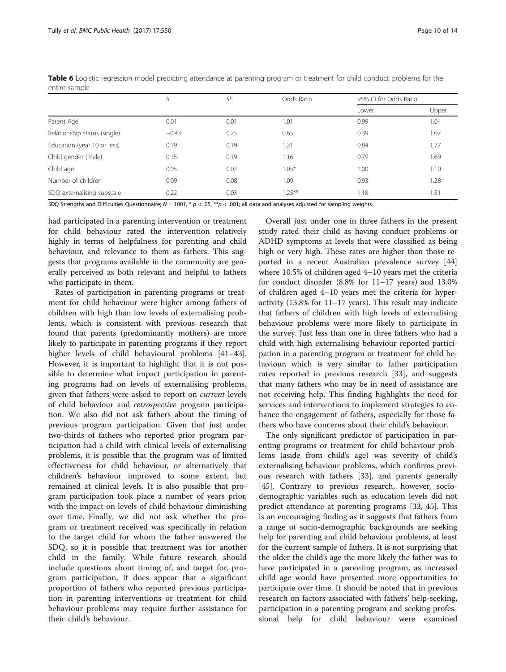|                              | B       | SE   | Odds Ratio | 95% CI for Odds Ratio |       |  |
|------------------------------|---------|------|------------|-----------------------|-------|--|
|                              |         |      |            | Lower                 | Upper |  |
| Parent Age                   | 0.01    | 0.01 | 1.01       | 0.99                  | 1.04  |  |
| Relationship status (single) | $-0.43$ | 0.25 | 0.65       | 0.39                  | 1.07  |  |
| Education (year 10 or less)  | 0.19    | 0.19 | 1.21       | 0.84                  | 1.77  |  |
| Child gender (male)          | 0.15    | 0.19 | 1.16       | 0.79                  | 1.69  |  |
| Child age                    | 0.05    | 0.02 | $1.05*$    | 1.00                  | 1.10  |  |
| Number of children           | 0.09    | 0.08 | 1.09       | 0.93                  | 1.28  |  |
| SDQ externalising subscale   | 0.22    | 0.03 | $1.25***$  | 1.18                  | 1.31  |  |

<span id="page-9-0"></span>Table 6 Logistic regression model predicting attendance at parenting program or treatment for child conduct problems for the entire sample

SDQ Strengths and Difficulties Questionnaire;  $N = 1001$ ,  $* p < .05$ ,  $** p < .001$ ; all data and analyses adjusted for sampling weights

had participated in a parenting intervention or treatment for child behaviour rated the intervention relatively highly in terms of helpfulness for parenting and child behaviour, and relevance to them as fathers. This suggests that programs available in the community are generally perceived as both relevant and helpful to fathers who participate in them.

Rates of participation in parenting programs or treatment for child behaviour were higher among fathers of children with high than low levels of externalising problems, which is consistent with previous research that found that parents (predominantly mothers) are more likely to participate in parenting programs if they report higher levels of child behavioural problems [[41](#page-13-0)–[43](#page-13-0)]. However, it is important to highlight that it is not possible to determine what impact participation in parenting programs had on levels of externalising problems, given that fathers were asked to report on current levels of child behaviour and retrospective program participation. We also did not ask fathers about the timing of previous program participation. Given that just under two-thirds of fathers who reported prior program participation had a child with clinical levels of externalising problems, it is possible that the program was of limited effectiveness for child behaviour, or alternatively that children's behaviour improved to some extent, but remained at clinical levels. It is also possible that program participation took place a number of years prior, with the impact on levels of child behaviour diminishing over time. Finally, we did not ask whether the program or treatment received was specifically in relation to the target child for whom the father answered the SDQ, so it is possible that treatment was for another child in the family. While future research should include questions about timing of, and target for, program participation, it does appear that a significant proportion of fathers who reported previous participation in parenting interventions or treatment for child behaviour problems may require further assistance for their child's behaviour.

Overall just under one in three fathers in the present study rated their child as having conduct problems or ADHD symptoms at levels that were classified as being high or very high. These rates are higher than those reported in a recent Australian prevalence survey [[44](#page-13-0)] where 10.5% of children aged 4–10 years met the criteria for conduct disorder (8.8% for 11–17 years) and 13.0% of children aged 4–10 years met the criteria for hyperactivity (13.8% for 11–17 years). This result may indicate that fathers of children with high levels of externalising behaviour problems were more likely to participate in the survey. Just less than one in three fathers who had a child with high externalising behaviour reported participation in a parenting program or treatment for child behaviour, which is very similar to father participation rates reported in previous research [\[33](#page-13-0)], and suggests that many fathers who may be in need of assistance are not receiving help. This finding highlights the need for services and interventions to implement strategies to enhance the engagement of fathers, especially for those fathers who have concerns about their child's behaviour.

The only significant predictor of participation in parenting programs or treatment for child behaviour problems (aside from child's age) was severity of child's externalising behaviour problems, which confirms previous research with fathers [[33](#page-13-0)], and parents generally [[45\]](#page-13-0). Contrary to previous research, however, sociodemographic variables such as education levels did not predict attendance at parenting programs [[33](#page-13-0), [45](#page-13-0)]. This is an encouraging finding as it suggests that fathers from a range of socio-demographic backgrounds are seeking help for parenting and child behaviour problems, at least for the current sample of fathers. It is not surprising that the older the child's age the more likely the father was to have participated in a parenting program, as increased child age would have presented more opportunities to participate over time. It should be noted that in previous research on factors associated with fathers' help-seeking, participation in a parenting program and seeking professional help for child behaviour were examined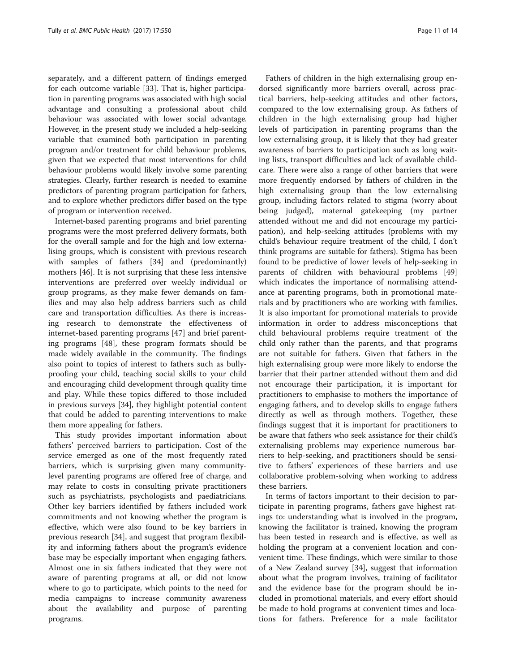separately, and a different pattern of findings emerged for each outcome variable [\[33](#page-13-0)]. That is, higher participation in parenting programs was associated with high social advantage and consulting a professional about child behaviour was associated with lower social advantage. However, in the present study we included a help-seeking variable that examined both participation in parenting program and/or treatment for child behaviour problems, given that we expected that most interventions for child behaviour problems would likely involve some parenting strategies. Clearly, further research is needed to examine predictors of parenting program participation for fathers, and to explore whether predictors differ based on the type of program or intervention received.

Internet-based parenting programs and brief parenting programs were the most preferred delivery formats, both for the overall sample and for the high and low externalising groups, which is consistent with previous research with samples of fathers [[34](#page-13-0)] and (predominantly) mothers [\[46](#page-13-0)]. It is not surprising that these less intensive interventions are preferred over weekly individual or group programs, as they make fewer demands on families and may also help address barriers such as child care and transportation difficulties. As there is increasing research to demonstrate the effectiveness of internet-based parenting programs [\[47](#page-13-0)] and brief parenting programs [[48\]](#page-13-0), these program formats should be made widely available in the community. The findings also point to topics of interest to fathers such as bullyproofing your child, teaching social skills to your child and encouraging child development through quality time and play. While these topics differed to those included in previous surveys [\[34\]](#page-13-0), they highlight potential content that could be added to parenting interventions to make them more appealing for fathers.

This study provides important information about fathers' perceived barriers to participation. Cost of the service emerged as one of the most frequently rated barriers, which is surprising given many communitylevel parenting programs are offered free of charge, and may relate to costs in consulting private practitioners such as psychiatrists, psychologists and paediatricians. Other key barriers identified by fathers included work commitments and not knowing whether the program is effective, which were also found to be key barriers in previous research [\[34](#page-13-0)], and suggest that program flexibility and informing fathers about the program's evidence base may be especially important when engaging fathers. Almost one in six fathers indicated that they were not aware of parenting programs at all, or did not know where to go to participate, which points to the need for media campaigns to increase community awareness about the availability and purpose of parenting programs.

Fathers of children in the high externalising group endorsed significantly more barriers overall, across practical barriers, help-seeking attitudes and other factors, compared to the low externalising group. As fathers of children in the high externalising group had higher levels of participation in parenting programs than the low externalising group, it is likely that they had greater awareness of barriers to participation such as long waiting lists, transport difficulties and lack of available childcare. There were also a range of other barriers that were more frequently endorsed by fathers of children in the high externalising group than the low externalising group, including factors related to stigma (worry about being judged), maternal gatekeeping (my partner attended without me and did not encourage my participation), and help-seeking attitudes (problems with my child's behaviour require treatment of the child, I don't think programs are suitable for fathers). Stigma has been found to be predictive of lower levels of help-seeking in parents of children with behavioural problems [[49](#page-13-0)] which indicates the importance of normalising attendance at parenting programs, both in promotional materials and by practitioners who are working with families. It is also important for promotional materials to provide information in order to address misconceptions that child behavioural problems require treatment of the child only rather than the parents, and that programs are not suitable for fathers. Given that fathers in the high externalising group were more likely to endorse the barrier that their partner attended without them and did not encourage their participation, it is important for practitioners to emphasise to mothers the importance of engaging fathers, and to develop skills to engage fathers directly as well as through mothers. Together, these findings suggest that it is important for practitioners to be aware that fathers who seek assistance for their child's externalising problems may experience numerous barriers to help-seeking, and practitioners should be sensitive to fathers' experiences of these barriers and use collaborative problem-solving when working to address these barriers.

In terms of factors important to their decision to participate in parenting programs, fathers gave highest ratings to: understanding what is involved in the program, knowing the facilitator is trained, knowing the program has been tested in research and is effective, as well as holding the program at a convenient location and convenient time. These findings, which were similar to those of a New Zealand survey [\[34](#page-13-0)], suggest that information about what the program involves, training of facilitator and the evidence base for the program should be included in promotional materials, and every effort should be made to hold programs at convenient times and locations for fathers. Preference for a male facilitator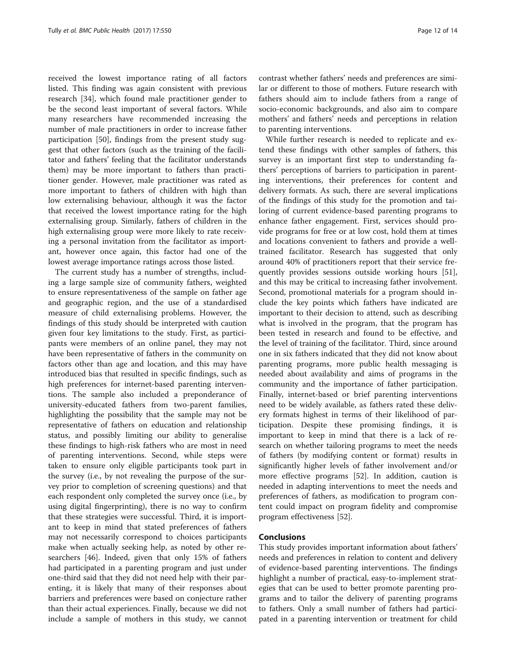received the lowest importance rating of all factors listed. This finding was again consistent with previous research [\[34\]](#page-13-0), which found male practitioner gender to be the second least important of several factors. While many researchers have recommended increasing the number of male practitioners in order to increase father participation [[50\]](#page-13-0), findings from the present study suggest that other factors (such as the training of the facilitator and fathers' feeling that the facilitator understands them) may be more important to fathers than practitioner gender. However, male practitioner was rated as more important to fathers of children with high than low externalising behaviour, although it was the factor that received the lowest importance rating for the high externalising group. Similarly, fathers of children in the high externalising group were more likely to rate receiving a personal invitation from the facilitator as important, however once again, this factor had one of the lowest average importance ratings across those listed.

The current study has a number of strengths, including a large sample size of community fathers, weighted to ensure representativeness of the sample on father age and geographic region, and the use of a standardised measure of child externalising problems. However, the findings of this study should be interpreted with caution given four key limitations to the study. First, as participants were members of an online panel, they may not have been representative of fathers in the community on factors other than age and location, and this may have introduced bias that resulted in specific findings, such as high preferences for internet-based parenting interventions. The sample also included a preponderance of university-educated fathers from two-parent families, highlighting the possibility that the sample may not be representative of fathers on education and relationship status, and possibly limiting our ability to generalise these findings to high-risk fathers who are most in need of parenting interventions. Second, while steps were taken to ensure only eligible participants took part in the survey (i.e., by not revealing the purpose of the survey prior to completion of screening questions) and that each respondent only completed the survey once (i.e., by using digital fingerprinting), there is no way to confirm that these strategies were successful. Third, it is important to keep in mind that stated preferences of fathers may not necessarily correspond to choices participants make when actually seeking help, as noted by other researchers [[46\]](#page-13-0). Indeed, given that only 15% of fathers had participated in a parenting program and just under one-third said that they did not need help with their parenting, it is likely that many of their responses about barriers and preferences were based on conjecture rather than their actual experiences. Finally, because we did not include a sample of mothers in this study, we cannot contrast whether fathers' needs and preferences are similar or different to those of mothers. Future research with fathers should aim to include fathers from a range of socio-economic backgrounds, and also aim to compare mothers' and fathers' needs and perceptions in relation to parenting interventions.

While further research is needed to replicate and extend these findings with other samples of fathers, this survey is an important first step to understanding fathers' perceptions of barriers to participation in parenting interventions, their preferences for content and delivery formats. As such, there are several implications of the findings of this study for the promotion and tailoring of current evidence-based parenting programs to enhance father engagement. First, services should provide programs for free or at low cost, hold them at times and locations convenient to fathers and provide a welltrained facilitator. Research has suggested that only around 40% of practitioners report that their service frequently provides sessions outside working hours [\[51](#page-13-0)], and this may be critical to increasing father involvement. Second, promotional materials for a program should include the key points which fathers have indicated are important to their decision to attend, such as describing what is involved in the program, that the program has been tested in research and found to be effective, and the level of training of the facilitator. Third, since around one in six fathers indicated that they did not know about parenting programs, more public health messaging is needed about availability and aims of programs in the community and the importance of father participation. Finally, internet-based or brief parenting interventions need to be widely available, as fathers rated these delivery formats highest in terms of their likelihood of participation. Despite these promising findings, it is important to keep in mind that there is a lack of research on whether tailoring programs to meet the needs of fathers (by modifying content or format) results in significantly higher levels of father involvement and/or more effective programs [\[52\]](#page-13-0). In addition, caution is needed in adapting interventions to meet the needs and preferences of fathers, as modification to program content could impact on program fidelity and compromise program effectiveness [[52\]](#page-13-0).

### Conclusions

This study provides important information about fathers' needs and preferences in relation to content and delivery of evidence-based parenting interventions. The findings highlight a number of practical, easy-to-implement strategies that can be used to better promote parenting programs and to tailor the delivery of parenting programs to fathers. Only a small number of fathers had participated in a parenting intervention or treatment for child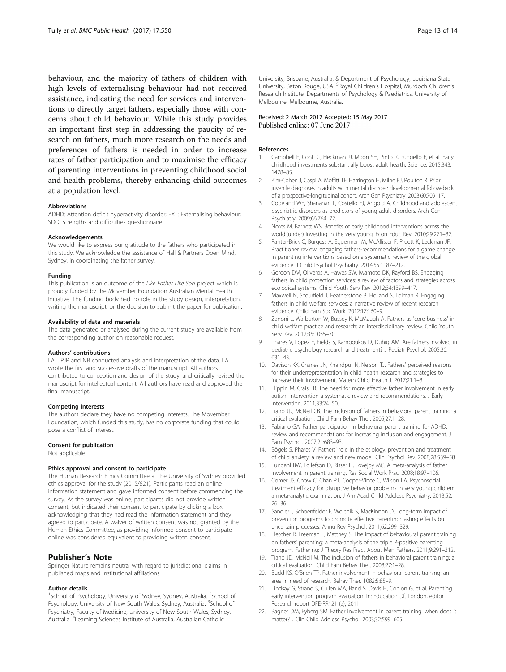<span id="page-12-0"></span>behaviour, and the majority of fathers of children with high levels of externalising behaviour had not received assistance, indicating the need for services and interventions to directly target fathers, especially those with concerns about child behaviour. While this study provides an important first step in addressing the paucity of research on fathers, much more research on the needs and preferences of fathers is needed in order to increase rates of father participation and to maximise the efficacy of parenting interventions in preventing childhood social and health problems, thereby enhancing child outcomes at a population level.

#### Abbreviations

ADHD: Attention deficit hyperactivity disorder; EXT: Externalising behaviour; SDQ: Strengths and difficulties questionnaire

#### Acknowledgements

We would like to express our gratitude to the fathers who participated in this study. We acknowledge the assistance of Hall & Partners Open Mind, Sydney, in coordinating the father survey.

#### Funding

This publication is an outcome of the Like Father Like Son project which is proudly funded by the Movember Foundation Australian Mental Health Initiative. The funding body had no role in the study design, interpretation, writing the manuscript, or the decision to submit the paper for publication.

#### Availability of data and materials

The data generated or analysed during the current study are available from the corresponding author on reasonable request.

#### Authors' contributions

LAT, PJP and NB conducted analysis and interpretation of the data. LAT wrote the first and successive drafts of the manuscript. All authors contributed to conception and design of the study, and critically revised the manuscript for intellectual content. All authors have read and approved the final manuscript.

#### Competing interests

The authors declare they have no competing interests. The Movember Foundation, which funded this study, has no corporate funding that could pose a conflict of interest.

#### Consent for publication

Not applicable.

#### Ethics approval and consent to participate

The Human Research Ethics Committee at the University of Sydney provided ethics approval for the study (2015/821). Participants read an online information statement and gave informed consent before commencing the survey. As the survey was online, participants did not provide written consent, but indicated their consent to participate by clicking a box acknowledging that they had read the information statement and they agreed to participate. A waiver of written consent was not granted by the Human Ethics Committee, as providing informed consent to participate online was considered equivalent to providing written consent.

#### Publisher's Note

Springer Nature remains neutral with regard to jurisdictional claims in published maps and institutional affiliations.

#### Author details

<sup>1</sup>School of Psychology, University of Sydney, Sydney, Australia. <sup>2</sup>School of Psychology, University of New South Wales, Sydney, Australia. <sup>3</sup>School of Psychiatry, Faculty of Medicine, University of New South Wales, Sydney, Australia. <sup>4</sup> Learning Sciences Institute of Australia, Australian Catholic

University, Brisbane, Australia, & Department of Psychology, Louisiana State University, Baton Rouge, USA. <sup>5</sup> Royal Children's Hospital, Murdoch Children's Research Institute, Departments of Psychology & Paediatrics, University of Melbourne, Melbourne, Australia.

#### Received: 2 March 2017 Accepted: 15 May 2017 Published online: 07 June 2017

#### References

- 1. Campbell F, Conti G, Heckman JJ, Moon SH, Pinto R, Pungello E, et al. Early childhood investments substantially boost adult health. Science. 2015;343: 1478–85.
- 2. Kim-Cohen J, Caspi A, Moffitt TE, Harrington H, Milne BJ, Poulton R. Prior juvenile diagnoses in adults with mental disorder: developmental follow-back of a prospective-longitudinal cohort. Arch Gen Psychiatry. 2003;60:709–17.
- 3. Copeland WE, Shanahan L, Costello EJ, Angold A. Childhood and adolescent psychiatric disorders as predictors of young adult disorders. Arch Gen Psychiatry. 2009;66:764–72.
- 4. Nores M, Barnett WS. Benefits of early childhood interventions across the world:(under) investing in the very young. Econ Educ Rev. 2010;29:271–82.
- 5. Panter-Brick C, Burgess A, Eggerman M, McAllister F, Pruett K, Leckman JF. Practitioner review: engaging fathers-recommendations for a game change in parenting interventions based on a systematic review of the global evidence. J Child Psychol Psychiatry. 2014;55:1187–212.
- 6. Gordon DM, Oliveros A, Hawes SW, Iwamoto DK, Rayford BS. Engaging fathers in child protection services: a review of factors and strategies across ecological systems. Child Youth Serv Rev. 2012;34:1399–417.
- 7. Maxwell N, Scourfield J, Featherstone B, Holland S, Tolman R. Engaging fathers in child welfare services: a narrative review of recent research evidence. Child Fam Soc Work. 2012;17:160–9.
- 8. Zanoni L, Warburton W, Bussey K, McMaugh A. Fathers as 'core business' in child welfare practice and research: an interdisciplinary review. Child Youth Serv Rev. 2012;35:1055–70.
- 9. Phares V, Lopez E, Fields S, Kamboukos D, Duhig AM. Are fathers involved in pediatric psychology research and treatment? J Pediatr Psychol. 2005;30: 631–43.
- 10. Davison KK, Charles JN, Khandpur N, Nelson TJ. Fathers' perceived reasons for their underrepresentation in child health research and strategies to increase their involvement. Matern Child Health J. 2017;21:1–8.
- 11. Flippin M, Crais ER. The need for more effective father involvement in early autism intervention a systematic review and recommendations. J Early Intervention. 2011;33:24–50.
- 12. Tiano JD, McNeil CB. The inclusion of fathers in behavioral parent training: a critical evaluation. Child Fam Behav Ther. 2005;27:1–28.
- 13. Fabiano GA. Father participation in behavioral parent training for ADHD: review and recommendations for increasing inclusion and engagement. J Fam Psychol. 2007;21:683–93.
- 14. Bögels S, Phares V. Fathers' role in the etiology, prevention and treatment of child anxiety: a review and new model. Clin Psychol Rev. 2008;28:539–58.
- 15. Lundahl BW, Tollefson D, Risser H, Lovejoy MC. A meta-analysis of father involvement in parent training. Res Social Work Prac. 2008;18:97–106.
- 16. Comer JS, Chow C, Chan PT, Cooper-Vince C, Wilson LA. Psychosocial treatment efficacy for disruptive behavior problems in very young children: a meta-analytic examination. J Am Acad Child Adolesc Psychiatry. 2013;52: 26–36.
- 17. Sandler I, Schoenfelder E, Wolchik S, MacKinnon D. Long-term impact of prevention programs to promote effective parenting: lasting effects but uncertain processes. Annu Rev Psychol. 2011;62:299–329.
- 18. Fletcher R, Freeman E, Matthey S. The impact of behavioural parent training on fathers' parenting: a meta-analysis of the triple P-positive parenting program. Fathering: J Theory Res Pract About Men Fathers. 2011;9:291–312.
- 19. Tiano JD, McNeil M. The inclusion of fathers in behavioral parent training: a critical evaluation. Child Fam Behav Ther. 2008;27:1–28.
- 20. Budd KS, O'Brien TP. Father involvement in behavioral parent training: an area in need of research. Behav Ther. 1082;5:85–9.
- 21. Lindsay G, Strand S, Cullen MA, Band S, Davis H, Conlon G, et al. Parenting early intervention program evaluation. In: Education Df. London, editor. Research report DFE-RR121 (a); 2011.
- 22. Bagner DM, Eyberg SM. Father involvement in parent training: when does it matter? J Clin Child Adolesc Psychol. 2003;32:599–605.